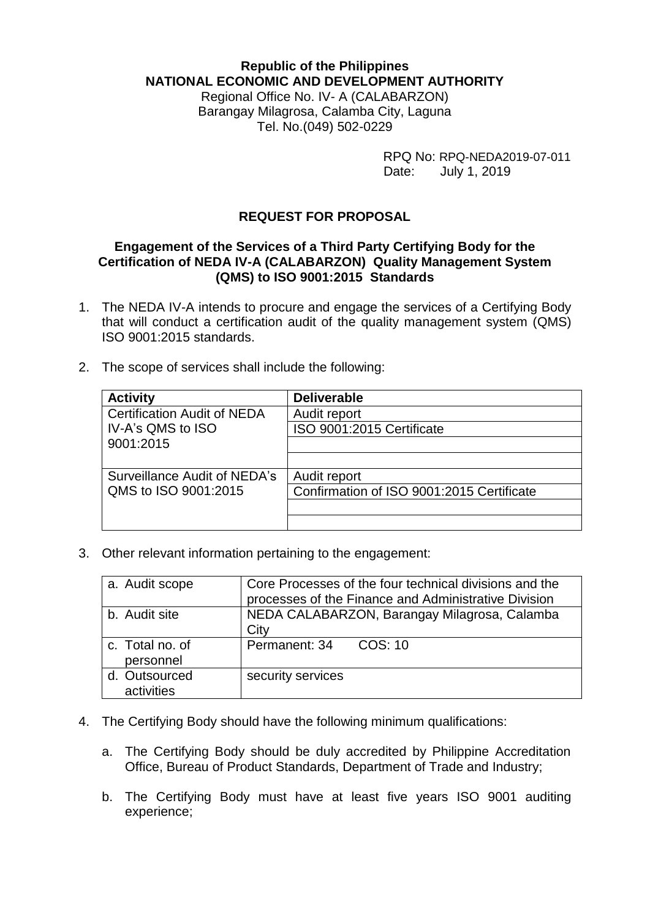## **Republic of the Philippines NATIONAL ECONOMIC AND DEVELOPMENT AUTHORITY**

Regional Office No. IV- A (CALABARZON) Barangay Milagrosa, Calamba City, Laguna Tel. No.(049) 502-0229

> RPQ No: RPQ-NEDA2019-07-011<br>Date: July 1, 2019 July 1, 2019

## **REQUEST FOR PROPOSAL**

## **Engagement of the Services of a Third Party Certifying Body for the Certification of NEDA IV-A (CALABARZON) Quality Management System (QMS) to ISO 9001:2015 Standards**

- 1. The NEDA IV-A intends to procure and engage the services of a Certifying Body that will conduct a certification audit of the quality management system (QMS) ISO 9001:2015 standards.
- 2. The scope of services shall include the following:

| <b>Activity</b>                    | <b>Deliverable</b>                        |
|------------------------------------|-------------------------------------------|
| <b>Certification Audit of NEDA</b> | Audit report                              |
| IV-A's QMS to ISO                  | ISO 9001:2015 Certificate                 |
| 9001:2015                          |                                           |
|                                    |                                           |
| Surveillance Audit of NEDA's       | Audit report                              |
| QMS to ISO 9001:2015               | Confirmation of ISO 9001:2015 Certificate |
|                                    |                                           |
|                                    |                                           |

3. Other relevant information pertaining to the engagement:

| a. Audit scope               | Core Processes of the four technical divisions and the<br>processes of the Finance and Administrative Division |
|------------------------------|----------------------------------------------------------------------------------------------------------------|
| b. Audit site                | NEDA CALABARZON, Barangay Milagrosa, Calamba<br>City                                                           |
| c. Total no. of<br>personnel | COS: 10<br>Permanent: 34                                                                                       |
| d. Outsourced<br>activities  | security services                                                                                              |

- 4. The Certifying Body should have the following minimum qualifications:
	- a. The Certifying Body should be duly accredited by Philippine Accreditation Office, Bureau of Product Standards, Department of Trade and Industry;
	- b. The Certifying Body must have at least five years ISO 9001 auditing experience;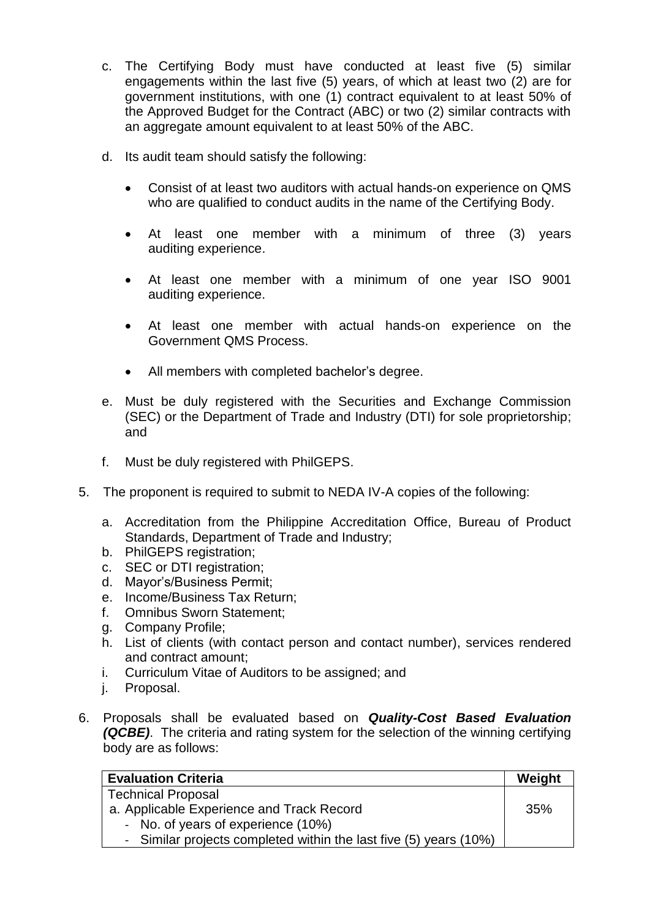- c. The Certifying Body must have conducted at least five (5) similar engagements within the last five (5) years, of which at least two (2) are for government institutions, with one (1) contract equivalent to at least 50% of the Approved Budget for the Contract (ABC) or two (2) similar contracts with an aggregate amount equivalent to at least 50% of the ABC.
- d. Its audit team should satisfy the following:
	- Consist of at least two auditors with actual hands-on experience on QMS who are qualified to conduct audits in the name of the Certifying Body.
	- At least one member with a minimum of three (3) years auditing experience.
	- At least one member with a minimum of one year ISO 9001 auditing experience.
	- At least one member with actual hands-on experience on the Government QMS Process.
	- All members with completed bachelor's degree.
- e. Must be duly registered with the Securities and Exchange Commission (SEC) or the Department of Trade and Industry (DTI) for sole proprietorship; and
- f. Must be duly registered with PhilGEPS.
- 5. The proponent is required to submit to NEDA IV-A copies of the following:
	- a. Accreditation from the Philippine Accreditation Office, Bureau of Product Standards, Department of Trade and Industry;
	- b. PhilGEPS registration;
	- c. SEC or DTI registration;
	- d. Mayor's/Business Permit;
	- e. Income/Business Tax Return;
	- f. Omnibus Sworn Statement;
	- g. Company Profile;
	- h. List of clients (with contact person and contact number), services rendered and contract amount;
	- i. Curriculum Vitae of Auditors to be assigned; and
	- j. Proposal.
- 6. Proposals shall be evaluated based on *Quality-Cost Based Evaluation (QCBE)*. The criteria and rating system for the selection of the winning certifying body are as follows:

| <b>Evaluation Criteria</b>                                        | Weight |
|-------------------------------------------------------------------|--------|
| <b>Technical Proposal</b>                                         |        |
| a. Applicable Experience and Track Record                         |        |
| - No. of years of experience (10%)                                |        |
| - Similar projects completed within the last five (5) years (10%) |        |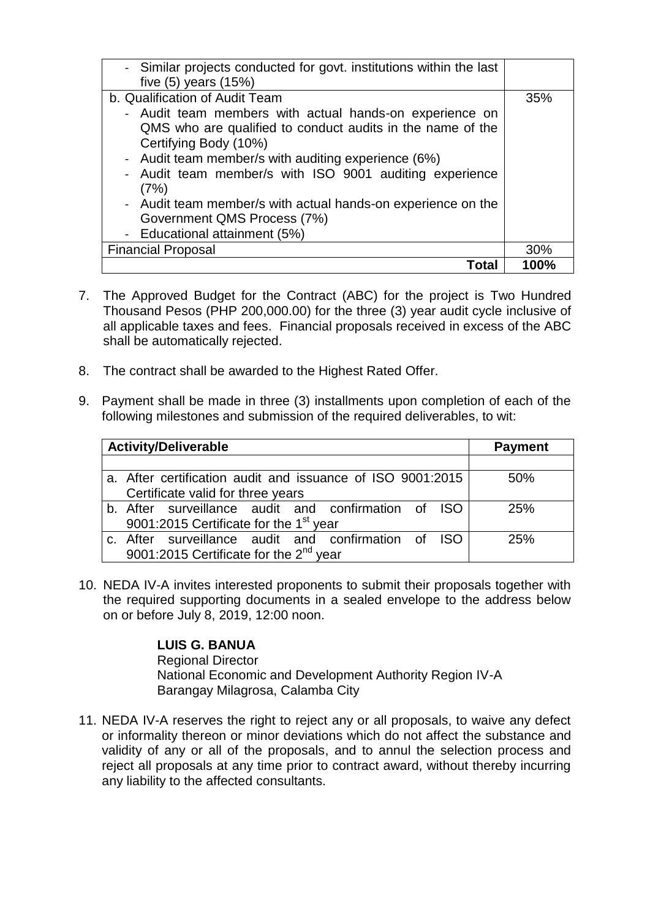| - Similar projects conducted for govt. institutions within the last<br>five $(5)$ years $(15%)$                                                                                                                                                                                                                                                                                                                                                            |      |
|------------------------------------------------------------------------------------------------------------------------------------------------------------------------------------------------------------------------------------------------------------------------------------------------------------------------------------------------------------------------------------------------------------------------------------------------------------|------|
| b. Qualification of Audit Team<br>- Audit team members with actual hands-on experience on<br>QMS who are qualified to conduct audits in the name of the<br>Certifying Body (10%)<br>- Audit team member/s with auditing experience (6%)<br>Audit team member/s with ISO 9001 auditing experience<br>$\blacksquare$<br>(7%)<br>- Audit team member/s with actual hands-on experience on the<br>Government QMS Process (7%)<br>- Educational attainment (5%) | 35%  |
| <b>Financial Proposal</b>                                                                                                                                                                                                                                                                                                                                                                                                                                  | 30%  |
| Total                                                                                                                                                                                                                                                                                                                                                                                                                                                      | 100% |

- 7. The Approved Budget for the Contract (ABC) for the project is Two Hundred Thousand Pesos (PHP 200,000.00) for the three (3) year audit cycle inclusive of all applicable taxes and fees. Financial proposals received in excess of the ABC shall be automatically rejected.
- 8. The contract shall be awarded to the Highest Rated Offer.
- 9. Payment shall be made in three (3) installments upon completion of each of the following milestones and submission of the required deliverables, to wit:

| <b>Activity/Deliverable</b> |                                                            | <b>Payment</b> |
|-----------------------------|------------------------------------------------------------|----------------|
|                             |                                                            |                |
|                             | a. After certification audit and issuance of ISO 9001:2015 | 50%            |
|                             | Certificate valid for three years                          |                |
|                             | b. After surveillance audit and confirmation of ISO        | 25%            |
|                             | 9001:2015 Certificate for the 1 <sup>st</sup> year         |                |
|                             | c. After surveillance audit and confirmation of ISO        | 25%            |
|                             | 9001:2015 Certificate for the 2 <sup>nd</sup> year         |                |

10. NEDA IV-A invites interested proponents to submit their proposals together with the required supporting documents in a sealed envelope to the address below on or before July 8, 2019, 12:00 noon.

## **LUIS G. BANUA**

Regional Director National Economic and Development Authority Region IV-A Barangay Milagrosa, Calamba City

11. NEDA IV-A reserves the right to reject any or all proposals, to waive any defect or informality thereon or minor deviations which do not affect the substance and validity of any or all of the proposals, and to annul the selection process and reject all proposals at any time prior to contract award, without thereby incurring any liability to the affected consultants.